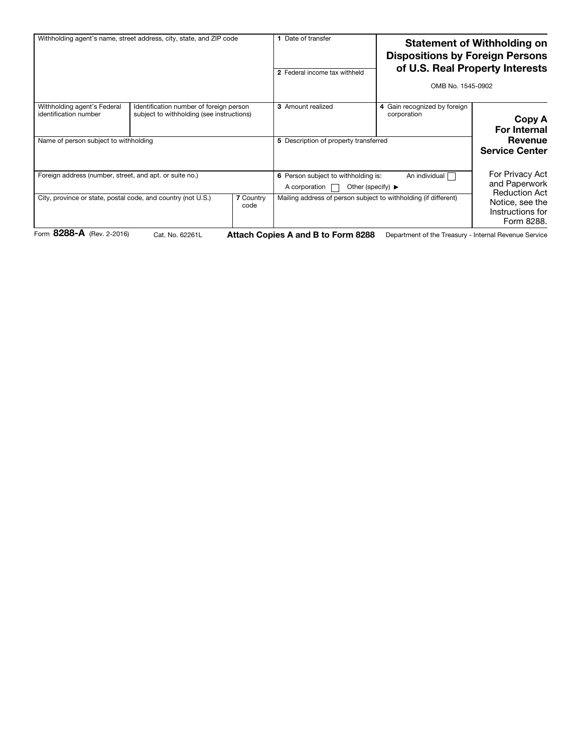| Withholding agent's name, street address, city, state, and ZIP code    |                                                                                      | Date of transfer<br>2 Federal income tax withheld |                                                                                                                | <b>Statement of Withholding on</b><br><b>Dispositions by Foreign Persons</b><br>of U.S. Real Property Interests<br>OMB No. 1545-0902 |                                                                           |  |
|------------------------------------------------------------------------|--------------------------------------------------------------------------------------|---------------------------------------------------|----------------------------------------------------------------------------------------------------------------|--------------------------------------------------------------------------------------------------------------------------------------|---------------------------------------------------------------------------|--|
| Withholding agent's Federal<br>identification number                   | Identification number of foreign person<br>subject to withholding (see instructions) |                                                   | <b>3</b> Amount realized                                                                                       | 4 Gain recognized by foreign<br>corporation                                                                                          | Copy A<br><b>For Internal</b>                                             |  |
| Name of person subject to withholding                                  |                                                                                      |                                                   | 5 Description of property transferred                                                                          |                                                                                                                                      | Revenue<br><b>Service Center</b>                                          |  |
| Foreign address (number, street, and apt. or suite no.)                |                                                                                      |                                                   | An individual<br>6 Person subject to withholding is:<br>Other (specify) $\blacktriangleright$<br>A corporation |                                                                                                                                      | For Privacy Act<br>and Paperwork                                          |  |
| City, province or state, postal code, and country (not U.S.)<br>---- - |                                                                                      | <b>7 Country</b><br>code                          |                                                                                                                | Mailing address of person subject to withholding (if different)                                                                      | <b>Reduction Act</b><br>Notice, see the<br>Instructions for<br>Form 8288. |  |

Form 8288-A (Rev. 2-2016)

Cat. No. 62261L **Attach Copies A and B to Form 8288** Department of the Treasury - Internal Revenue Service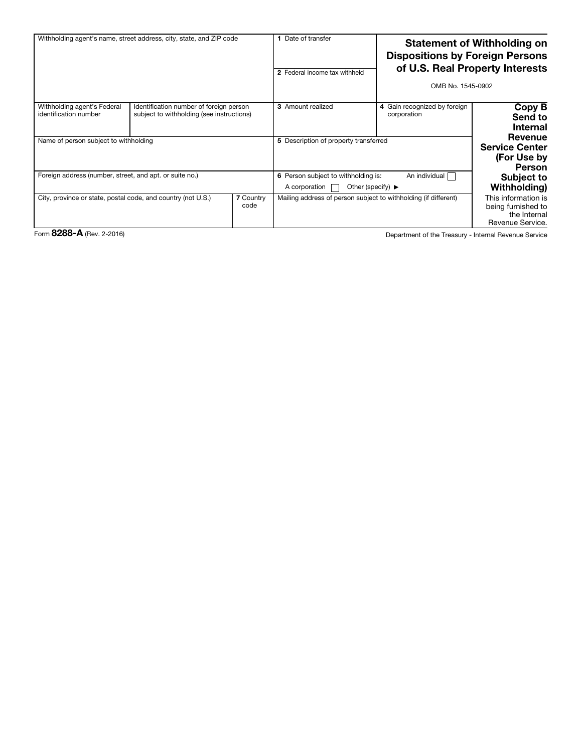| Withholding agent's name, street address, city, state, and ZIP code |                                                                                      | Date of transfer<br>2 Federal income tax withheld |                                                                                                                | <b>Statement of Withholding on</b><br><b>Dispositions by Foreign Persons</b><br>of U.S. Real Property Interests<br>OMB No. 1545-0902 |                                                                               |
|---------------------------------------------------------------------|--------------------------------------------------------------------------------------|---------------------------------------------------|----------------------------------------------------------------------------------------------------------------|--------------------------------------------------------------------------------------------------------------------------------------|-------------------------------------------------------------------------------|
| Withholding agent's Federal<br>identification number                | Identification number of foreign person<br>subject to withholding (see instructions) |                                                   | <b>3</b> Amount realized                                                                                       | 4 Gain recognized by foreign<br>corporation                                                                                          | Copy B<br>Send to<br><b>Internal</b>                                          |
| Name of person subject to withholding                               |                                                                                      |                                                   | 5 Description of property transferred                                                                          |                                                                                                                                      | Revenue<br><b>Service Center</b><br>(For Use by<br>Person                     |
| Foreign address (number, street, and apt. or suite no.)             |                                                                                      |                                                   | An individual<br>6 Person subject to withholding is:<br>Other (specify) $\blacktriangleright$<br>A corporation |                                                                                                                                      | <b>Subject to</b><br>Withholding)                                             |
| City, province or state, postal code, and country (not U.S.)        |                                                                                      | <b>7 Country</b><br>code                          |                                                                                                                | Mailing address of person subject to withholding (if different)                                                                      | This information is<br>being furnished to<br>the Internal<br>Revenue Service. |

Form 8288-A (Rev. 2-2016)

Department of the Treasury - Internal Revenue Service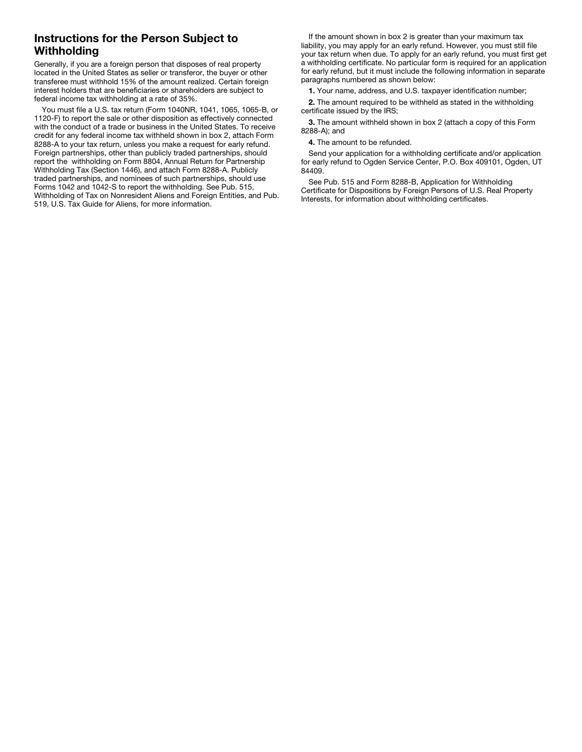## Instructions for the Person Subject to **Withholding**

Generally, if you are a foreign person that disposes of real property located in the United States as seller or transferor, the buyer or other transferee must withhold 15% of the amount realized. Certain foreign interest holders that are beneficiaries or shareholders are subject to federal income tax withholding at a rate of 35%.

You must file a U.S. tax return (Form 1040NR, 1041, 1065, 1065-B, or 1120-F) to report the sale or other disposition as effectively connected with the conduct of a trade or business in the United States. To receive credit for any federal income tax withheld shown in box 2, attach Form 8288-A to your tax return, unless you make a request for early refund. Foreign partnerships, other than publicly traded partnerships, should report the withholding on Form 8804, Annual Return for Partnership Withholding Tax (Section 1446), and attach Form 8288-A. Publicly traded partnerships, and nominees of such partnerships, should use Forms 1042 and 1042-S to report the withholding. See Pub. 515, Withholding of Tax on Nonresident Aliens and Foreign Entities, and Pub. 519, U.S. Tax Guide for Aliens, for more information.

If the amount shown in box 2 is greater than your maximum tax liability, you may apply for an early refund. However, you must still file your tax return when due. To apply for an early refund, you must first get a withholding certificate. No particular form is required for an application for early refund, but it must include the following information in separate paragraphs numbered as shown below:

1. Your name, address, and U.S. taxpayer identification number;

2. The amount required to be withheld as stated in the withholding certificate issued by the IRS;

3. The amount withheld shown in box 2 (attach a copy of this Form 8288-A); and

4. The amount to be refunded.

Send your application for a withholding certificate and/or application for early refund to Ogden Service Center, P.O. Box 409101, Ogden, UT 84409.

See Pub. 515 and Form 8288-B, Application for Withholding Certificate for Dispositions by Foreign Persons of U.S. Real Property Interests, for information about withholding certificates.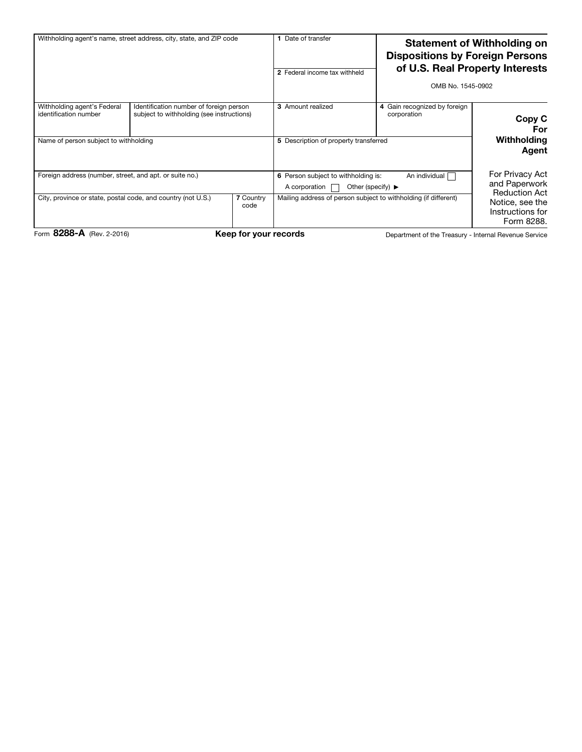| Withholding agent's name, street address, city, state, and ZIP code                                                                                 |                                                                                      |  | Date of transfer<br>2 Federal income tax withheld                                                                                                                                   | <b>Statement of Withholding on</b><br><b>Dispositions by Foreign Persons</b><br>of U.S. Real Property Interests<br>OMB No. 1545-0902 |                                                                                                               |  |
|-----------------------------------------------------------------------------------------------------------------------------------------------------|--------------------------------------------------------------------------------------|--|-------------------------------------------------------------------------------------------------------------------------------------------------------------------------------------|--------------------------------------------------------------------------------------------------------------------------------------|---------------------------------------------------------------------------------------------------------------|--|
| Withholding agent's Federal<br>identification number<br>Name of person subject to withholding                                                       | Identification number of foreign person<br>subject to withholding (see instructions) |  | 3 Amount realized<br>5 Description of property transferred                                                                                                                          | 4 Gain recognized by foreign<br>corporation                                                                                          | Copy C<br>For<br>Withholding<br>Agent                                                                         |  |
| Foreign address (number, street, and apt. or suite no.)<br>City, province or state, postal code, and country (not U.S.)<br><b>7 Country</b><br>code |                                                                                      |  | An individual [<br>6 Person subject to withholding is:<br>Other (specify) $\blacktriangleright$<br>A corporation<br>Mailing address of person subject to withholding (if different) |                                                                                                                                      | For Privacy Act<br>and Paperwork<br><b>Reduction Act</b><br>Notice, see the<br>Instructions for<br>Form 8288. |  |
| Form 8288-A (Rev. 2-2016)<br>Keep for your records<br>Department of the Treasury - Internal Revenue Service                                         |                                                                                      |  |                                                                                                                                                                                     |                                                                                                                                      |                                                                                                               |  |